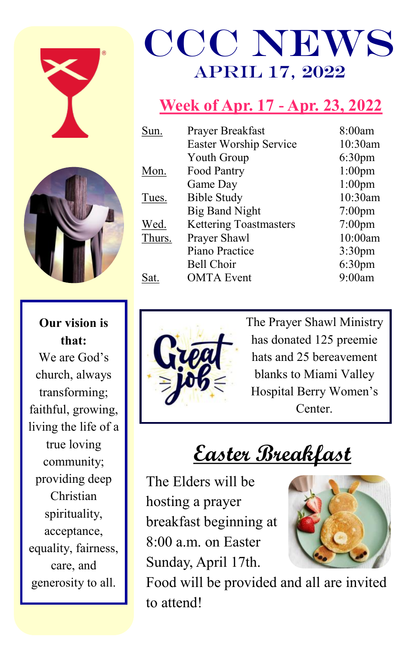



**Our vision is that:** We are God's church, always transforming; faithful, growing, living the life of a true loving community; providing deep Christian spirituality, acceptance, equality, fairness, care, and generosity to all.

# CCC News April 17, 2022

### **Week of Apr. 17 - Apr. 23, 2022**

| Sun.   | Prayer Breakfast              | 8:00am             |
|--------|-------------------------------|--------------------|
|        | <b>Easter Worship Service</b> | 10:30am            |
|        | Youth Group                   | 6:30 <sub>pm</sub> |
| Mon.   | Food Pantry                   | $1:00$ pm          |
|        | Game Day                      | $1:00$ pm          |
| Tues.  | <b>Bible Study</b>            | 10:30am            |
|        | <b>Big Band Night</b>         | $7:00$ pm          |
| Wed.   | <b>Kettering Toastmasters</b> | $7:00$ pm          |
| Thurs. | Prayer Shawl                  | 10:00am            |
|        | Piano Practice                | $3:30$ pm          |
|        | <b>Bell Choir</b>             | 6:30 <sub>pm</sub> |
| Sat    | <b>OMTA</b> Event             | 9:00am             |
|        |                               |                    |



The Prayer Shawl Ministry has donated 125 preemie hats and 25 bereavement blanks to Miami Valley Hospital Berry Women's Center.

**Easter Breakfast**

The Elders will be hosting a prayer breakfast beginning at 8:00 a.m. on Easter Sunday, April 17th.



Food will be provided and all are invited to attend!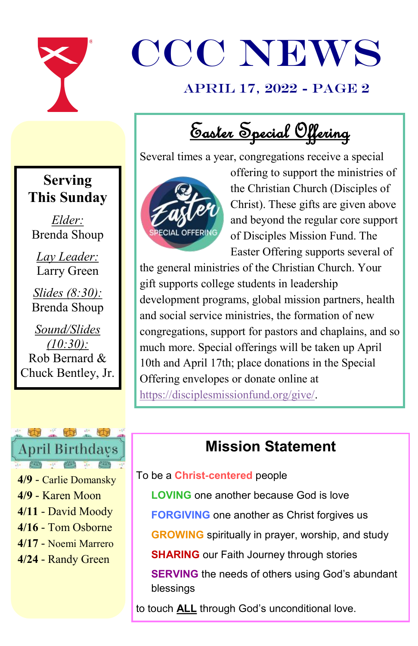

# CCC NEWS

#### April 17, 2022 - page 2

Easter Special Offering

Several times a year, congregations receive a special



offering to support the ministries of the Christian Church (Disciples of Christ). These gifts are given above and beyond the regular core support of Disciples Mission Fund. The Easter Offering supports several of

the general ministries of the Christian Church. Your gift supports college students in leadership development programs, global mission partners, health and social service ministries, the formation of new congregations, support for pastors and chaplains, and so much more. Special offerings will be taken up April 10th and April 17th; place donations in the Special Offering envelopes or donate online at [https://disciplesmissionfund.org/give/.](https://disciplesmissionfund.org/give/)

#### **Mission Statement**

#### To be a **Christ-centered** people

**LOVING** one another because God is love

**FORGIVING** one another as Christ forgives us

**GROWING** spiritually in prayer, worship, and study

**SHARING** our Faith Journey through stories

**SERVING** the needs of others using God's abundant blessings

to touch **ALL** through God's unconditional love.

#### **Serving This Sunday**

*Elder:*  Brenda Shoup

*Lay Leader:* Larry Green

*Slides (8:30):* Brenda Shoup

*Sound/Slides (10:30):* Rob Bernard & Chuck Bentley, Jr.



**4/9** - Carlie Domansky **4/9** - Karen Moon **4/11** - David Moody **4/16** - Tom Osborne **4/17** - Noemi Marrero **4/24** - Randy Green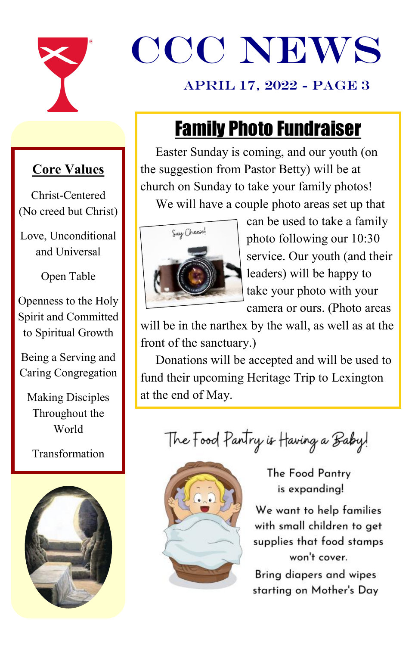

# CCC NEWS

#### April 17, 2022 - page 3

## Family Photo Fundraiser

#### **Core Values**

Christ-Centered (No creed but Christ)

Love, Unconditional and Universal

Open Table

Openness to the Holy Spirit and Committed to Spiritual Growth

Being a Serving and Caring Congregation

Making Disciples Throughout the World

Transformation



Easter Sunday is coming, and our youth (on the suggestion from Pastor Betty) will be at church on Sunday to take your family photos! We will have a couple photo areas set up that



can be used to take a family photo following our 10:30 service. Our youth (and their leaders) will be happy to take your photo with your camera or ours. (Photo areas

will be in the narthex by the wall, as well as at the front of the sanctuary.)

Donations will be accepted and will be used to fund their upcoming Heritage Trip to Lexington at the end of May.

The Food Pantry is Having a Baby!



The Food Pantry is expanding!

We want to help families with small children to get supplies that food stamps won't cover.

Bring diapers and wipes starting on Mother's Day